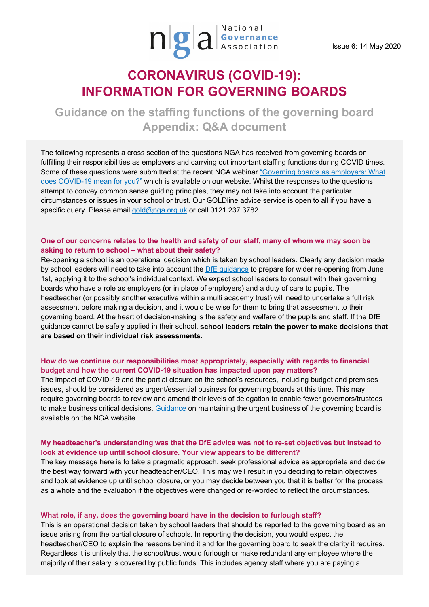

# **CORONAVIRUS (COVID-19): INFORMATION FOR GOVERNING BOARDS**

**Guidance on the staffing functions of the governing board Appendix: Q&A document**

The following represents a cross section of the questions NGA has received from governing boards on fulfilling their responsibilities as employers and carrying out important staffing functions during COVID times. Some of these questions were submitted at the recent NGA webina[r "Governing boards as](https://www.nga.org.uk/News/Webinars.aspx) employers: What [does COVID-19 mean for you?"](https://www.nga.org.uk/News/Webinars.aspx) which is available on our website. Whilst the responses to the questions attempt to convey common sense guiding principles, they may not take into account the particular circumstances or issues in your school or trust. Our GOLDline advice service is open to all if you have a specific query. Please email [gold@nga.org.uk](mailto:gold@nga.org.uk) or call 0121 237 3782.

### **One of our concerns relates to the health and safety of our staff, many of whom we may soon be asking to return to school – what about their safety?**

Re-opening a school is an operational decision which is taken by school leaders. Clearly any decision made by school leaders will need to take into account the [DfE guidance](https://www.gov.uk/government/publications/actions-for-educational-and-childcare-settings-to-prepare-for-wider-opening-from-1-june-2020/actions-for-education-and-childcare-settings-to-prepare-for-wider-opening-from-1-june-2020) to prepare for wider re-opening from June 1st, applying it to the school's individual context. We expect school leaders to consult with their governing boards who have a role as employers (or in place of employers) and a duty of care to pupils. The headteacher (or possibly another executive within a multi academy trust) will need to undertake a full risk assessment before making a decision, and it would be wise for them to bring that assessment to their governing board. At the heart of decision-making is the safety and welfare of the pupils and staff. If the DfE guidance cannot be safely applied in their school, **school leaders retain the power to make decisions that are based on their individual risk assessments.**

## **How do we continue our responsibilities most appropriately, especially with regards to financial budget and how the current COVID-19 situation has impacted upon pay matters?**

The impact of COVID-19 and the partial closure on the school's resources, including budget and premises issues, should be considered as urgent/essential business for governing boards at this time. This may require governing boards to review and amend their levels of delegation to enable fewer governors/trustees to make business critical decisions. [Guidance](https://www.nga.org.uk/getmedia/f72f52d9-03af-4d7c-a9a5-9b4d84aaf24a/COVID-GUIDANCE-ON-DECISIONS-AND-MEETINGS-UPDATE-7th-May-2020-FINAL_2.pdf) on maintaining the urgent business of the governing board is available on the NGA website.

## **My headteacher's understanding was that the DfE advice was not to re-set objectives but instead to look at evidence up until school closure. Your view appears to be different?**

The key message here is to take a pragmatic approach, seek professional advice as appropriate and decide the best way forward with your headteacher/CEO. This may well result in you deciding to retain objectives and look at evidence up until school closure, or you may decide between you that it is better for the process as a whole and the evaluation if the objectives were changed or re-worded to reflect the circumstances.

#### **What role, if any, does the governing board have in the decision to furlough staff?**

This is an operational decision taken by school leaders that should be reported to the governing board as an issue arising from the partial closure of schools. In reporting the decision, you would expect the headteacher/CEO to explain the reasons behind it and for the governing board to seek the clarity it requires. Regardless it is unlikely that the school/trust would furlough or make redundant any employee where the majority of their salary is covered by public funds. This includes agency staff where you are paying a